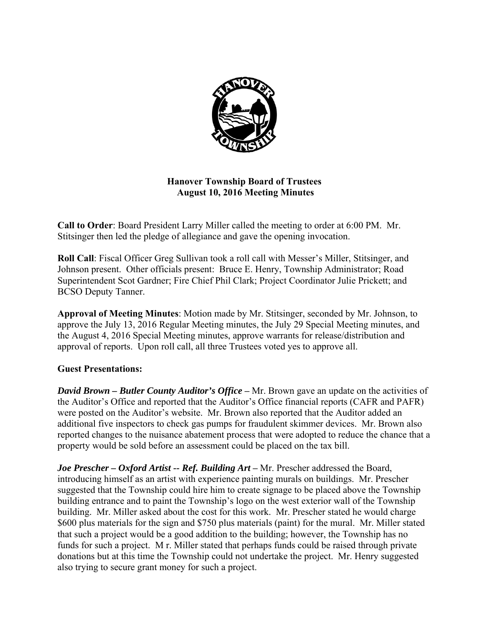

# **Hanover Township Board of Trustees August 10, 2016 Meeting Minutes**

**Call to Order**: Board President Larry Miller called the meeting to order at 6:00 PM. Mr. Stitsinger then led the pledge of allegiance and gave the opening invocation.

**Roll Call**: Fiscal Officer Greg Sullivan took a roll call with Messer's Miller, Stitsinger, and Johnson present. Other officials present: Bruce E. Henry, Township Administrator; Road Superintendent Scot Gardner; Fire Chief Phil Clark; Project Coordinator Julie Prickett; and BCSO Deputy Tanner.

**Approval of Meeting Minutes**: Motion made by Mr. Stitsinger, seconded by Mr. Johnson, to approve the July 13, 2016 Regular Meeting minutes, the July 29 Special Meeting minutes, and the August 4, 2016 Special Meeting minutes, approve warrants for release/distribution and approval of reports. Upon roll call, all three Trustees voted yes to approve all.

# **Guest Presentations:**

*David Brown – Butler County Auditor's Office* – Mr. Brown gave an update on the activities of the Auditor's Office and reported that the Auditor's Office financial reports (CAFR and PAFR) were posted on the Auditor's website. Mr. Brown also reported that the Auditor added an additional five inspectors to check gas pumps for fraudulent skimmer devices. Mr. Brown also reported changes to the nuisance abatement process that were adopted to reduce the chance that a property would be sold before an assessment could be placed on the tax bill.

*Joe Prescher – Oxford Artist -- Ref. Building Art* **–** Mr. Prescher addressed the Board, introducing himself as an artist with experience painting murals on buildings. Mr. Prescher suggested that the Township could hire him to create signage to be placed above the Township building entrance and to paint the Township's logo on the west exterior wall of the Township building. Mr. Miller asked about the cost for this work. Mr. Prescher stated he would charge \$600 plus materials for the sign and \$750 plus materials (paint) for the mural. Mr. Miller stated that such a project would be a good addition to the building; however, the Township has no funds for such a project. M r. Miller stated that perhaps funds could be raised through private donations but at this time the Township could not undertake the project. Mr. Henry suggested also trying to secure grant money for such a project.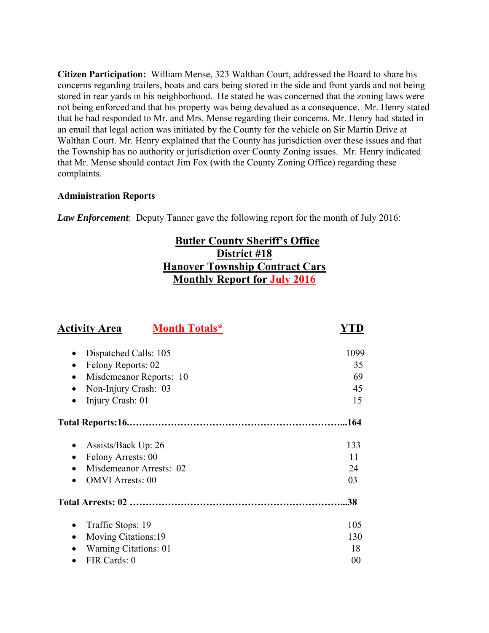**Citizen Participation:** William Mense, 323 Walthan Court, addressed the Board to share his concerns regarding trailers, boats and cars being stored in the side and front yards and not being stored in rear yards in his neighborhood. He stated he was concerned that the zoning laws were not being enforced and that his property was being devalued as a consequence. Mr. Henry stated that he had responded to Mr. and Mrs. Mense regarding their concerns. Mr. Henry had stated in an email that legal action was initiated by the County for the vehicle on Sir Martin Drive at Walthan Court. Mr. Henry explained that the County has jurisdiction over these issues and that the Township has no authority or jurisdiction over County Zoning issues. Mr. Henry indicated that Mr. Mense should contact Jim Fox (with the County Zoning Office) regarding these complaints.

### **Administration Reports**

*Law Enforcement*: Deputy Tanner gave the following report for the month of July 2016:

# **Butler County Sheriff's Office District #18 Hanover Township Contract Cars Monthly Report for July 2016**

| <b>Activity Area</b>       | <b>Month Totals*</b> |      |
|----------------------------|----------------------|------|
| Dispatched Calls: 105      |                      | 1099 |
| Felony Reports: 02         |                      | 35   |
| Misdemeanor Reports: 10    |                      | 69   |
| Non-Injury Crash: 03       |                      | 45   |
| Injury Crash: 01           |                      | 15   |
|                            |                      | .164 |
| Assists/Back Up: 26        |                      | 133  |
| Felony Arrests: 00         |                      | 11   |
| Misdemeanor Arrests: 02    |                      | 24   |
| <b>OMVI</b> Arrests: 00    |                      | 03   |
|                            |                      | .38  |
| Traffic Stops: 19          |                      | 105  |
| <b>Moving Citations:19</b> |                      | 130  |
| Warning Citations: 01      |                      | 18   |
| FIR Cards: 0               |                      | 00   |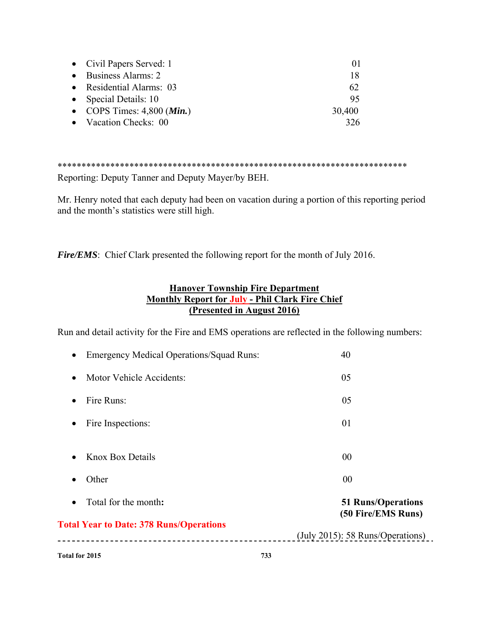| • Civil Papers Served: 1              | $\Omega$ |
|---------------------------------------|----------|
| • Business Alarms: 2                  | 18       |
| • Residential Alarms: 03              | 62       |
| • Special Details: 10                 | 95       |
| • COPS Times: $4,800$ ( <i>Min.</i> ) | 30,400   |
| • Vacation Checks: 00                 |          |

\*\*\*\*\*\*\*\*\*\*\*\*\*\*\*\*\*\*\*\*\*\*\*\*\*\*\*\*\*\*\*\*\*\*\*\*\*\*\*\*\*\*\*\*\*\*\*\*\*\*\*\*\*\*\*\*\*\*\*\*\*\*\*\*\*\*\*\*\*\*\*\*\*

Reporting: Deputy Tanner and Deputy Mayer/by BEH.

Mr. Henry noted that each deputy had been on vacation during a portion of this reporting period and the month's statistics were still high.

*Fire/EMS*: Chief Clark presented the following report for the month of July 2016.

# **Hanover Township Fire Department Monthly Report for July - Phil Clark Fire Chief (Presented in August 2016)**

Run and detail activity for the Fire and EMS operations are reflected in the following numbers:

| Total for 2015                                               | 733                                         |
|--------------------------------------------------------------|---------------------------------------------|
|                                                              | $(\text{July } 2015)$ : 58 Runs/Operations) |
| <b>Total Year to Date: 378 Runs/Operations</b>               | (50 Fire/EMS Runs)                          |
| Total for the month:<br>$\bullet$                            | <b>51 Runs/Operations</b>                   |
| Other<br>$\bullet$                                           | 00                                          |
| Knox Box Details<br>$\bullet$                                | 00                                          |
| Fire Inspections:<br>$\bullet$                               | 01                                          |
| Fire Runs:<br>$\bullet$                                      | 05                                          |
| Motor Vehicle Accidents:<br>$\bullet$                        | 05                                          |
| <b>Emergency Medical Operations/Squad Runs:</b><br>$\bullet$ | 40                                          |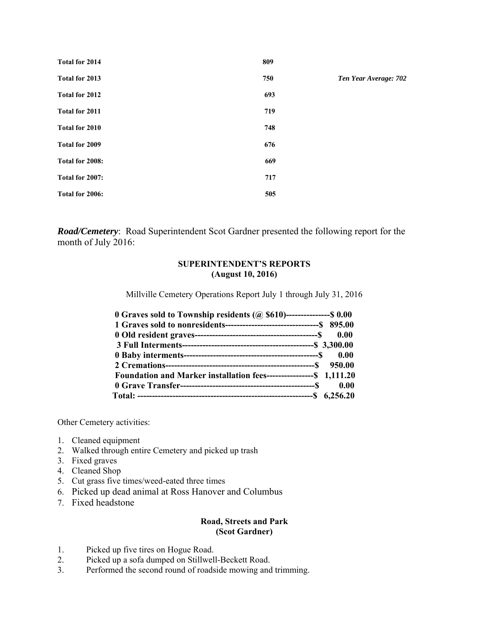| Total for 2014  | 809 |                       |
|-----------------|-----|-----------------------|
| Total for 2013  | 750 | Ten Year Average: 702 |
| Total for 2012  | 693 |                       |
| Total for 2011  | 719 |                       |
| Total for 2010  | 748 |                       |
| Total for 2009  | 676 |                       |
| Total for 2008: | 669 |                       |
| Total for 2007: | 717 |                       |
| Total for 2006: | 505 |                       |

*Road/Cemetery*: Road Superintendent Scot Gardner presented the following report for the month of July 2016:

### **SUPERINTENDENT'S REPORTS (August 10, 2016)**

Millville Cemetery Operations Report July 1 through July 31, 2016

| 0 Graves sold to Township residents $(Q, $610)$ ----------------\$ 0.00 |      |
|-------------------------------------------------------------------------|------|
|                                                                         |      |
|                                                                         |      |
|                                                                         |      |
|                                                                         |      |
|                                                                         |      |
| Foundation and Marker installation fees------------------\$ 1,111.20    |      |
|                                                                         | 0.00 |
|                                                                         |      |

Other Cemetery activities:

- 1. Cleaned equipment
- 2. Walked through entire Cemetery and picked up trash
- 3. Fixed graves
- 4. Cleaned Shop
- 5. Cut grass five times/weed-eated three times
- 6. Picked up dead animal at Ross Hanover and Columbus
- 7. Fixed headstone

### **Road, Streets and Park (Scot Gardner)**

- 1. Picked up five tires on Hogue Road.
- 2. Picked up a sofa dumped on Stillwell-Beckett Road.
- 3. Performed the second round of roadside mowing and trimming.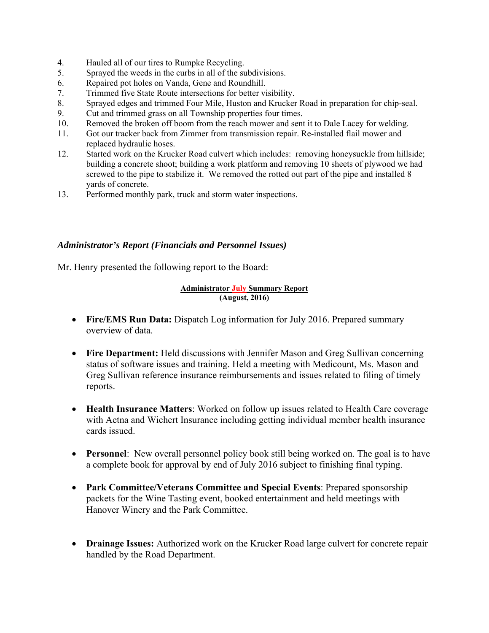- 4. Hauled all of our tires to Rumpke Recycling.
- 5. Sprayed the weeds in the curbs in all of the subdivisions.
- 6. Repaired pot holes on Vanda, Gene and Roundhill.
- 7. Trimmed five State Route intersections for better visibility.
- 8. Sprayed edges and trimmed Four Mile, Huston and Krucker Road in preparation for chip-seal.
- 9. Cut and trimmed grass on all Township properties four times.
- 10. Removed the broken off boom from the reach mower and sent it to Dale Lacey for welding.
- 11. Got our tracker back from Zimmer from transmission repair. Re-installed flail mower and replaced hydraulic hoses.
- 12. Started work on the Krucker Road culvert which includes: removing honeysuckle from hillside; building a concrete shoot; building a work platform and removing 10 sheets of plywood we had screwed to the pipe to stabilize it. We removed the rotted out part of the pipe and installed 8 yards of concrete.
- 13. Performed monthly park, truck and storm water inspections.

### *Administrator's Report (Financials and Personnel Issues)*

Mr. Henry presented the following report to the Board:

### **Administrator July Summary Report (August, 2016)**

- **Fire/EMS Run Data:** Dispatch Log information for July 2016. Prepared summary overview of data.
- **Fire Department:** Held discussions with Jennifer Mason and Greg Sullivan concerning status of software issues and training. Held a meeting with Medicount, Ms. Mason and Greg Sullivan reference insurance reimbursements and issues related to filing of timely reports.
- **Health Insurance Matters**: Worked on follow up issues related to Health Care coverage with Aetna and Wichert Insurance including getting individual member health insurance cards issued.
- **Personnel**: New overall personnel policy book still being worked on. The goal is to have a complete book for approval by end of July 2016 subject to finishing final typing.
- **Park Committee/Veterans Committee and Special Events**: Prepared sponsorship packets for the Wine Tasting event, booked entertainment and held meetings with Hanover Winery and the Park Committee.
- **Drainage Issues:** Authorized work on the Krucker Road large culvert for concrete repair handled by the Road Department.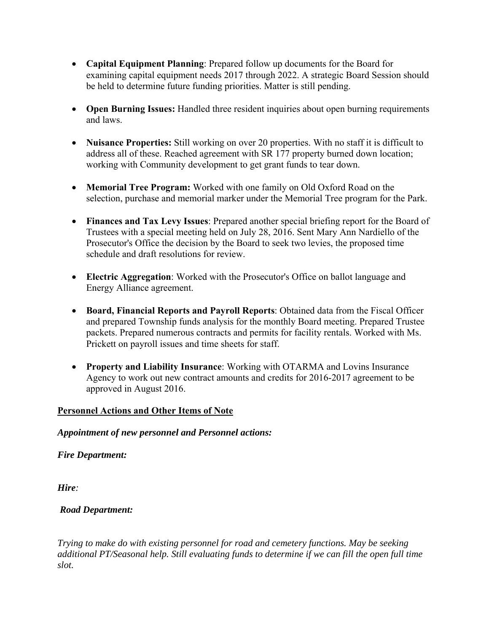- **Capital Equipment Planning**: Prepared follow up documents for the Board for examining capital equipment needs 2017 through 2022. A strategic Board Session should be held to determine future funding priorities. Matter is still pending.
- **Open Burning Issues:** Handled three resident inquiries about open burning requirements and laws.
- Nuisance Properties: Still working on over 20 properties. With no staff it is difficult to address all of these. Reached agreement with SR 177 property burned down location; working with Community development to get grant funds to tear down.
- **Memorial Tree Program:** Worked with one family on Old Oxford Road on the selection, purchase and memorial marker under the Memorial Tree program for the Park.
- **Finances and Tax Levy Issues**: Prepared another special briefing report for the Board of Trustees with a special meeting held on July 28, 2016. Sent Mary Ann Nardiello of the Prosecutor's Office the decision by the Board to seek two levies, the proposed time schedule and draft resolutions for review.
- **Electric Aggregation**: Worked with the Prosecutor's Office on ballot language and Energy Alliance agreement.
- **Board, Financial Reports and Payroll Reports**: Obtained data from the Fiscal Officer and prepared Township funds analysis for the monthly Board meeting. Prepared Trustee packets. Prepared numerous contracts and permits for facility rentals. Worked with Ms. Prickett on payroll issues and time sheets for staff.
- **Property and Liability Insurance**: Working with OTARMA and Lovins Insurance Agency to work out new contract amounts and credits for 2016-2017 agreement to be approved in August 2016.

# **Personnel Actions and Other Items of Note**

# *Appointment of new personnel and Personnel actions:*

*Fire Department:* 

*Hire:* 

# *Road Department:*

*Trying to make do with existing personnel for road and cemetery functions. May be seeking additional PT/Seasonal help. Still evaluating funds to determine if we can fill the open full time slot.*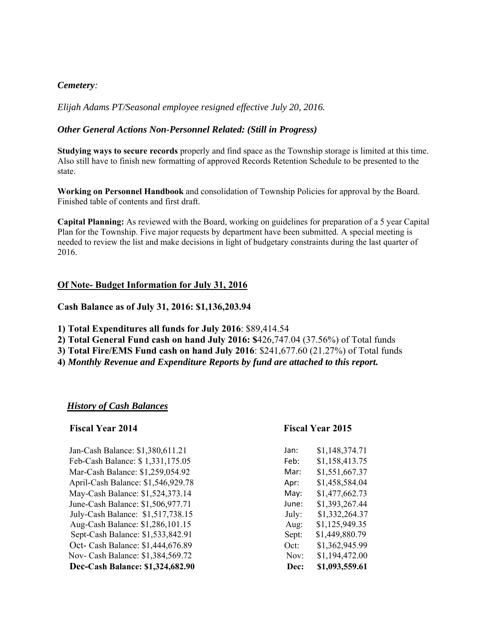### *Cemetery:*

*Elijah Adams PT/Seasonal employee resigned effective July 20, 2016.* 

### *Other General Actions Non-Personnel Related: (Still in Progress)*

**Studying ways to secure records** properly and find space as the Township storage is limited at this time. Also still have to finish new formatting of approved Records Retention Schedule to be presented to the state.

**Working on Personnel Handbook** and consolidation of Township Policies for approval by the Board. Finished table of contents and first draft.

**Capital Planning:** As reviewed with the Board, working on guidelines for preparation of a 5 year Capital Plan for the Township. Five major requests by department have been submitted. A special meeting is needed to review the list and make decisions in light of budgetary constraints during the last quarter of 2016.

### **Of Note- Budget Information for July 31, 2016**

**Cash Balance as of July 31, 2016: \$1,136,203.94** 

- **1) Total Expenditures all funds for July 2016**: \$89,414.54
- **2) Total General Fund cash on hand July 2016: \$**426,747.04 (37.56%) of Total funds
- **3) Total Fire/EMS Fund cash on hand July 2016**: \$241,677.60 (21.27%) of Total funds
- **4)** *Monthly Revenue and Expenditure Reports by fund are attached to this report.*

### *History of Cash Balances*

### **Fiscal Year 2014 Fiscal Year 2015**

| Jan-Cash Balance: \$1,380,611.21   | Jan:  | \$1,148,374.71 |
|------------------------------------|-------|----------------|
| Feb-Cash Balance: \$1,331,175.05   | Feb:  | \$1,158,413.75 |
| Mar-Cash Balance: \$1,259,054.92   | Mar:  | \$1,551,667.37 |
| April-Cash Balance: \$1,546,929.78 | Apr:  | \$1,458,584.04 |
| May-Cash Balance: \$1,524,373.14   | May:  | \$1,477,662.73 |
| June-Cash Balance: \$1,506,977.71  | June: | \$1,393,267.44 |
| July-Cash Balance: \$1,517,738.15  | July: | \$1,332,264.37 |
| Aug-Cash Balance: \$1,286,101.15   | Aug:  | \$1,125,949.35 |
| Sept-Cash Balance: \$1,533,842.91  | Sept: | \$1,449,880.79 |
| Oct- Cash Balance: \$1,444,676.89  | Oct:  | \$1,362,945.99 |
| Nov- Cash Balance: \$1,384,569.72  | Nov:  | \$1,194,472.00 |
| Dec-Cash Balance: \$1,324,682.90   | Dec:  | \$1,093,559.61 |
|                                    |       |                |

| Jan:  | \$1,148,574.71 |
|-------|----------------|
| Feb:  | \$1,158,413.75 |
| Mar:  | \$1,551,667.37 |
| Apr:  | \$1,458,584.04 |
| May:  | \$1,477,662.73 |
| June: | \$1,393,267.44 |
| July: | \$1,332,264.37 |
| Aug:  | \$1,125,949.35 |
| Sept: | \$1,449,880.79 |
| Oct:  | \$1,362,945.99 |
| Nov:  | \$1,194,472.00 |
| Dec:  | \$1,093,559.61 |
|       |                |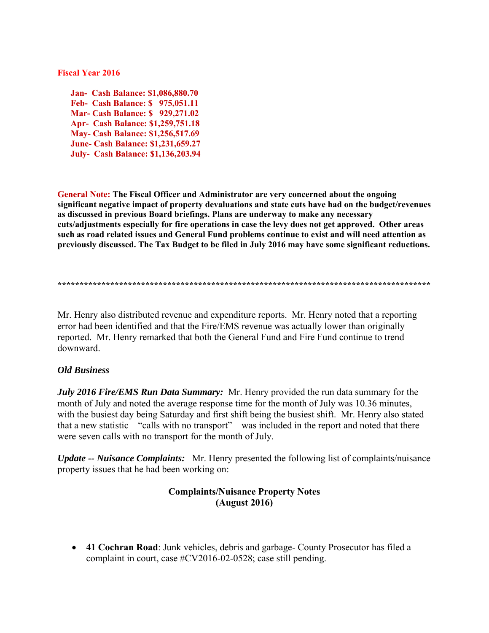### **Fiscal Year 2016**

 **Jan- Cash Balance: \$1,086,880.70 Feb- Cash Balance: \$ 975,051.11 Mar- Cash Balance: \$ 929,271.02 Apr- Cash Balance: \$1,259,751.18 May- Cash Balance: \$1,256,517.69 June- Cash Balance: \$1,231,659.27 July- Cash Balance: \$1,136,203.94** 

**General Note: The Fiscal Officer and Administrator are very concerned about the ongoing significant negative impact of property devaluations and state cuts have had on the budget/revenues as discussed in previous Board briefings. Plans are underway to make any necessary cuts/adjustments especially for fire operations in case the levy does not get approved. Other areas such as road related issues and General Fund problems continue to exist and will need attention as previously discussed. The Tax Budget to be filed in July 2016 may have some significant reductions.** 

**\*\*\*\*\*\*\*\*\*\*\*\*\*\*\*\*\*\*\*\*\*\*\*\*\*\*\*\*\*\*\*\*\*\*\*\*\*\*\*\*\*\*\*\*\*\*\*\*\*\*\*\*\*\*\*\*\*\*\*\*\*\*\*\*\*\*\*\*\*\*\*\*\*\*\*\*\*\*\*\*\*\*\*\*\*** 

Mr. Henry also distributed revenue and expenditure reports. Mr. Henry noted that a reporting error had been identified and that the Fire/EMS revenue was actually lower than originally reported. Mr. Henry remarked that both the General Fund and Fire Fund continue to trend downward.

### *Old Business*

*July 2016 Fire/EMS Run Data Summary:* Mr. Henry provided the run data summary for the month of July and noted the average response time for the month of July was 10.36 minutes, with the busiest day being Saturday and first shift being the busiest shift. Mr. Henry also stated that a new statistic – "calls with no transport" – was included in the report and noted that there were seven calls with no transport for the month of July.

*Update -- Nuisance Complaints:* Mr. Henry presented the following list of complaints/nuisance property issues that he had been working on:

### **Complaints/Nuisance Property Notes (August 2016)**

 **41 Cochran Road**: Junk vehicles, debris and garbage- County Prosecutor has filed a complaint in court, case #CV2016-02-0528; case still pending.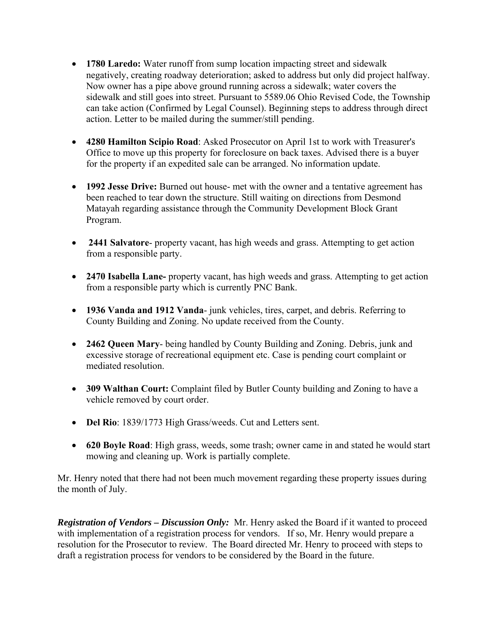- **1780 Laredo:** Water runoff from sump location impacting street and sidewalk negatively, creating roadway deterioration; asked to address but only did project halfway. Now owner has a pipe above ground running across a sidewalk; water covers the sidewalk and still goes into street. Pursuant to 5589.06 Ohio Revised Code, the Township can take action (Confirmed by Legal Counsel). Beginning steps to address through direct action. Letter to be mailed during the summer/still pending.
- **4280 Hamilton Scipio Road**: Asked Prosecutor on April 1st to work with Treasurer's Office to move up this property for foreclosure on back taxes. Advised there is a buyer for the property if an expedited sale can be arranged. No information update.
- **1992 Jesse Drive:** Burned out house- met with the owner and a tentative agreement has been reached to tear down the structure. Still waiting on directions from Desmond Matayah regarding assistance through the Community Development Block Grant Program.
- **2441 Salvatore** property vacant, has high weeds and grass. Attempting to get action from a responsible party.
- **2470 Isabella Lane-** property vacant, has high weeds and grass. Attempting to get action from a responsible party which is currently PNC Bank.
- **1936 Vanda and 1912 Vanda** junk vehicles, tires, carpet, and debris. Referring to County Building and Zoning. No update received from the County.
- **2462 Queen Mary** being handled by County Building and Zoning. Debris, junk and excessive storage of recreational equipment etc. Case is pending court complaint or mediated resolution.
- **309 Walthan Court:** Complaint filed by Butler County building and Zoning to have a vehicle removed by court order.
- **Del Rio**: 1839/1773 High Grass/weeds. Cut and Letters sent.
- **620 Boyle Road**: High grass, weeds, some trash; owner came in and stated he would start mowing and cleaning up. Work is partially complete.

Mr. Henry noted that there had not been much movement regarding these property issues during the month of July.

*Registration of Vendors – Discussion Only:* Mr. Henry asked the Board if it wanted to proceed with implementation of a registration process for vendors. If so, Mr. Henry would prepare a resolution for the Prosecutor to review. The Board directed Mr. Henry to proceed with steps to draft a registration process for vendors to be considered by the Board in the future.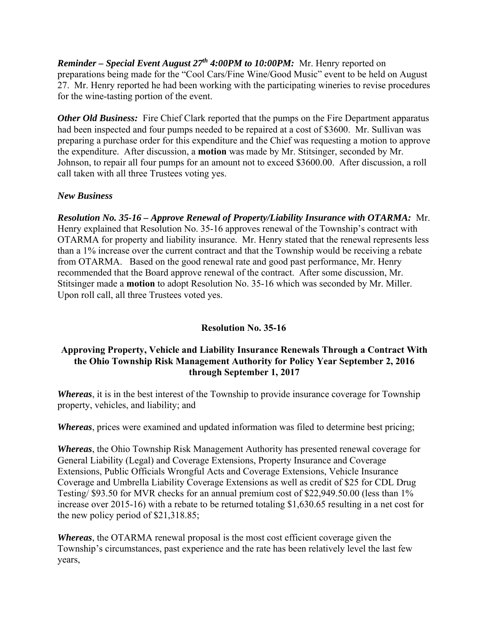*Reminder – Special Event August 27th 4:00PM to 10:00PM:* Mr. Henry reported on preparations being made for the "Cool Cars/Fine Wine/Good Music" event to be held on August 27. Mr. Henry reported he had been working with the participating wineries to revise procedures for the wine-tasting portion of the event.

**Other Old Business:** Fire Chief Clark reported that the pumps on the Fire Department apparatus had been inspected and four pumps needed to be repaired at a cost of \$3600. Mr. Sullivan was preparing a purchase order for this expenditure and the Chief was requesting a motion to approve the expenditure. After discussion, a **motion** was made by Mr. Stitsinger, seconded by Mr. Johnson, to repair all four pumps for an amount not to exceed \$3600.00. After discussion, a roll call taken with all three Trustees voting yes.

# *New Business*

*Resolution No. 35-16 – Approve Renewal of Property/Liability Insurance with OTARMA:* Mr. Henry explained that Resolution No. 35-16 approves renewal of the Township's contract with OTARMA for property and liability insurance. Mr. Henry stated that the renewal represents less than a 1% increase over the current contract and that the Township would be receiving a rebate from OTARMA. Based on the good renewal rate and good past performance, Mr. Henry recommended that the Board approve renewal of the contract. After some discussion, Mr. Stitsinger made a **motion** to adopt Resolution No. 35-16 which was seconded by Mr. Miller. Upon roll call, all three Trustees voted yes.

# **Resolution No. 35-16**

# **Approving Property, Vehicle and Liability Insurance Renewals Through a Contract With the Ohio Township Risk Management Authority for Policy Year September 2, 2016 through September 1, 2017**

*Whereas*, it is in the best interest of the Township to provide insurance coverage for Township property, vehicles, and liability; and

*Whereas*, prices were examined and updated information was filed to determine best pricing;

*Whereas*, the Ohio Township Risk Management Authority has presented renewal coverage for General Liability (Legal) and Coverage Extensions, Property Insurance and Coverage Extensions, Public Officials Wrongful Acts and Coverage Extensions, Vehicle Insurance Coverage and Umbrella Liability Coverage Extensions as well as credit of \$25 for CDL Drug Testing/ \$93.50 for MVR checks for an annual premium cost of \$22,949.50.00 (less than 1% increase over 2015-16) with a rebate to be returned totaling \$1,630.65 resulting in a net cost for the new policy period of \$21,318.85;

*Whereas*, the OTARMA renewal proposal is the most cost efficient coverage given the Township's circumstances, past experience and the rate has been relatively level the last few years,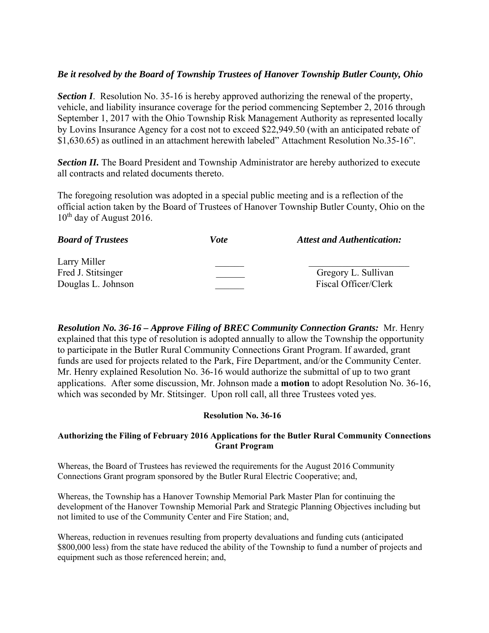## *Be it resolved by the Board of Township Trustees of Hanover Township Butler County, Ohio*

**Section I**. Resolution No. 35-16 is hereby approved authorizing the renewal of the property, vehicle, and liability insurance coverage for the period commencing September 2, 2016 through September 1, 2017 with the Ohio Township Risk Management Authority as represented locally by Lovins Insurance Agency for a cost not to exceed \$22,949.50 (with an anticipated rebate of \$1,630.65) as outlined in an attachment herewith labeled" Attachment Resolution No.35-16".

**Section II.** The Board President and Township Administrator are hereby authorized to execute all contracts and related documents thereto.

The foregoing resolution was adopted in a special public meeting and is a reflection of the official action taken by the Board of Trustees of Hanover Township Butler County, Ohio on the  $10^{th}$  day of August 2016.

| <b>Board of Trustees</b>                                 | <i>Vote</i> | <b>Attest and Authentication:</b>           |
|----------------------------------------------------------|-------------|---------------------------------------------|
| Larry Miller<br>Fred J. Stitsinger<br>Douglas L. Johnson |             | Gregory L. Sullivan<br>Fiscal Officer/Clerk |

*Resolution No. 36-16 – Approve Filing of BREC Community Connection Grants:* Mr. Henry explained that this type of resolution is adopted annually to allow the Township the opportunity to participate in the Butler Rural Community Connections Grant Program. If awarded, grant funds are used for projects related to the Park, Fire Department, and/or the Community Center. Mr. Henry explained Resolution No. 36-16 would authorize the submittal of up to two grant applications. After some discussion, Mr. Johnson made a **motion** to adopt Resolution No. 36-16, which was seconded by Mr. Stitsinger. Upon roll call, all three Trustees voted yes.

### **Resolution No. 36-16**

### **Authorizing the Filing of February 2016 Applications for the Butler Rural Community Connections Grant Program**

Whereas, the Board of Trustees has reviewed the requirements for the August 2016 Community Connections Grant program sponsored by the Butler Rural Electric Cooperative; and,

Whereas, the Township has a Hanover Township Memorial Park Master Plan for continuing the development of the Hanover Township Memorial Park and Strategic Planning Objectives including but not limited to use of the Community Center and Fire Station; and,

Whereas, reduction in revenues resulting from property devaluations and funding cuts (anticipated \$800,000 less) from the state have reduced the ability of the Township to fund a number of projects and equipment such as those referenced herein; and,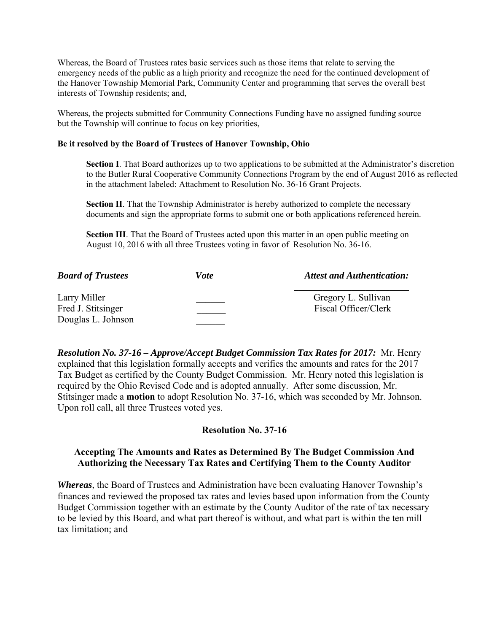Whereas, the Board of Trustees rates basic services such as those items that relate to serving the emergency needs of the public as a high priority and recognize the need for the continued development of the Hanover Township Memorial Park, Community Center and programming that serves the overall best interests of Township residents; and,

Whereas, the projects submitted for Community Connections Funding have no assigned funding source but the Township will continue to focus on key priorities,

### **Be it resolved by the Board of Trustees of Hanover Township, Ohio**

**Section I**. That Board authorizes up to two applications to be submitted at the Administrator's discretion to the Butler Rural Cooperative Community Connections Program by the end of August 2016 as reflected in the attachment labeled: Attachment to Resolution No. 36-16 Grant Projects.

**Section II**. That the Township Administrator is hereby authorized to complete the necessary documents and sign the appropriate forms to submit one or both applications referenced herein.

**Section III**. That the Board of Trustees acted upon this matter in an open public meeting on August 10, 2016 with all three Trustees voting in favor of Resolution No. 36-16.

| <b>Board of Trustees</b>           | <b>Vote</b> | <b>Attest and Authentication:</b>           |
|------------------------------------|-------------|---------------------------------------------|
| Larry Miller<br>Fred J. Stitsinger |             | Gregory L. Sullivan<br>Fiscal Officer/Clerk |
| Douglas L. Johnson                 |             |                                             |

*Resolution No. 37-16 – Approve/Accept Budget Commission Tax Rates for 2017:* Mr. Henry explained that this legislation formally accepts and verifies the amounts and rates for the 2017 Tax Budget as certified by the County Budget Commission. Mr. Henry noted this legislation is required by the Ohio Revised Code and is adopted annually. After some discussion, Mr. Stitsinger made a **motion** to adopt Resolution No. 37-16, which was seconded by Mr. Johnson. Upon roll call, all three Trustees voted yes.

### **Resolution No. 37-16**

### **Accepting The Amounts and Rates as Determined By The Budget Commission And Authorizing the Necessary Tax Rates and Certifying Them to the County Auditor**

*Whereas*, the Board of Trustees and Administration have been evaluating Hanover Township's finances and reviewed the proposed tax rates and levies based upon information from the County Budget Commission together with an estimate by the County Auditor of the rate of tax necessary to be levied by this Board, and what part thereof is without, and what part is within the ten mill tax limitation; and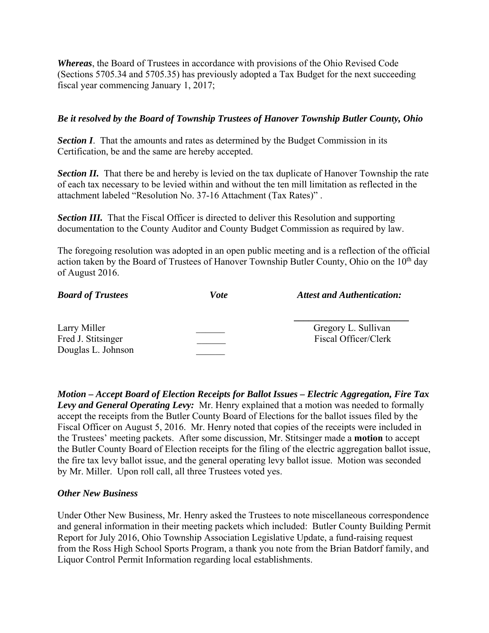*Whereas*, the Board of Trustees in accordance with provisions of the Ohio Revised Code (Sections 5705.34 and 5705.35) has previously adopted a Tax Budget for the next succeeding fiscal year commencing January 1, 2017;

## *Be it resolved by the Board of Township Trustees of Hanover Township Butler County, Ohio*

**Section I**. That the amounts and rates as determined by the Budget Commission in its Certification, be and the same are hereby accepted.

**Section II.** That there be and hereby is levied on the tax duplicate of Hanover Township the rate of each tax necessary to be levied within and without the ten mill limitation as reflected in the attachment labeled "Resolution No. 37-16 Attachment (Tax Rates)" .

*Section III.* That the Fiscal Officer is directed to deliver this Resolution and supporting documentation to the County Auditor and County Budget Commission as required by law.

The foregoing resolution was adopted in an open public meeting and is a reflection of the official action taken by the Board of Trustees of Hanover Township Butler County, Ohio on the 10<sup>th</sup> day of August 2016.

| <b>Board of Trustees</b>           | Vote | <b>Attest and Authentication:</b>           |
|------------------------------------|------|---------------------------------------------|
| Larry Miller<br>Fred J. Stitsinger |      | Gregory L. Sullivan<br>Fiscal Officer/Clerk |
| Douglas L. Johnson                 |      |                                             |

*Motion – Accept Board of Election Receipts for Ballot Issues – Electric Aggregation, Fire Tax Levy and General Operating Levy:* Mr. Henry explained that a motion was needed to formally accept the receipts from the Butler County Board of Elections for the ballot issues filed by the Fiscal Officer on August 5, 2016. Mr. Henry noted that copies of the receipts were included in the Trustees' meeting packets. After some discussion, Mr. Stitsinger made a **motion** to accept the Butler County Board of Election receipts for the filing of the electric aggregation ballot issue, the fire tax levy ballot issue, and the general operating levy ballot issue. Motion was seconded by Mr. Miller. Upon roll call, all three Trustees voted yes.

### *Other New Business*

Under Other New Business, Mr. Henry asked the Trustees to note miscellaneous correspondence and general information in their meeting packets which included: Butler County Building Permit Report for July 2016, Ohio Township Association Legislative Update, a fund-raising request from the Ross High School Sports Program, a thank you note from the Brian Batdorf family, and Liquor Control Permit Information regarding local establishments.